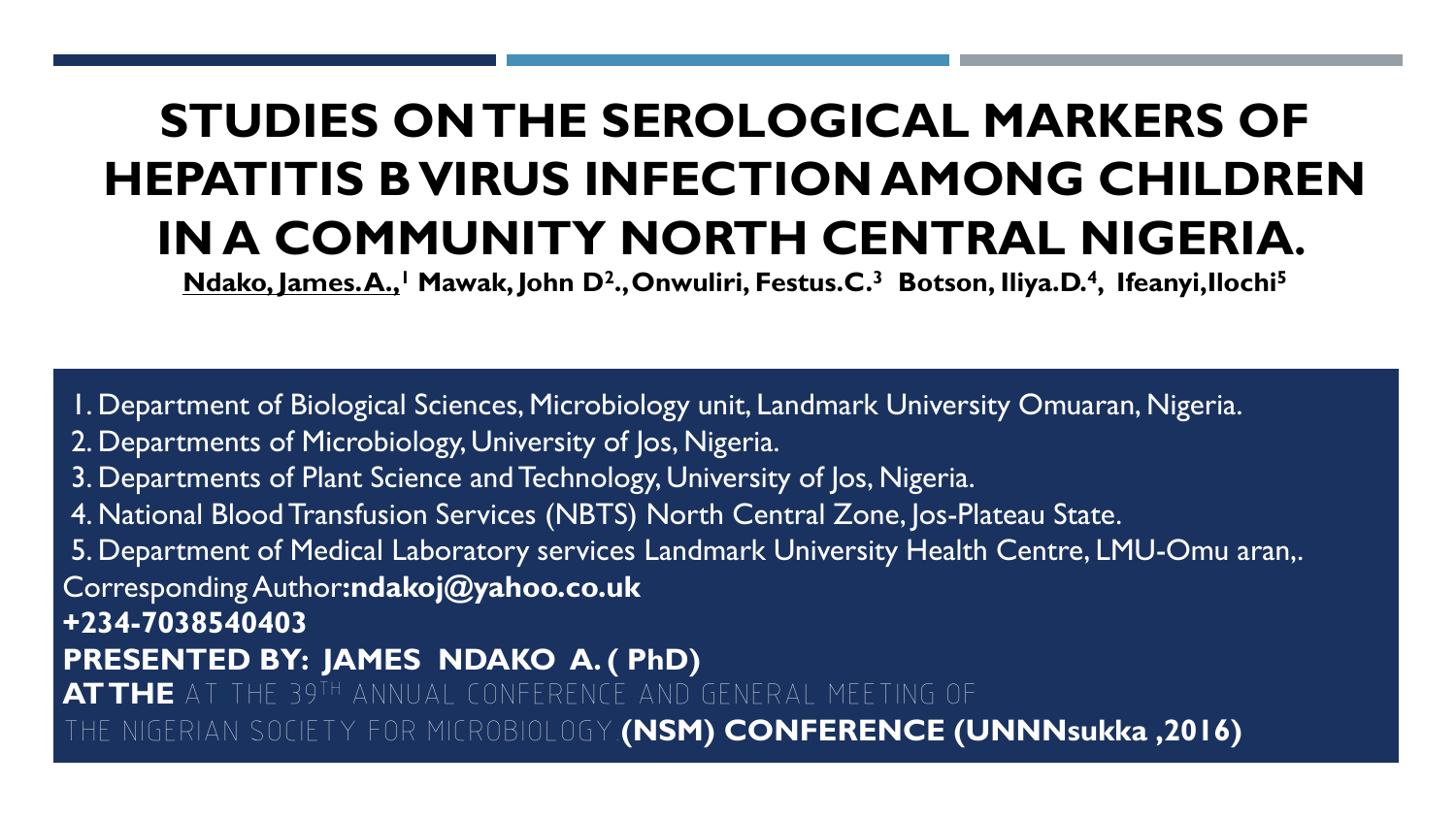### **STUDIES ON THE SEROLOGICAL MARKERS OF HEPATITIS B VIRUS INFECTION AMONG CHILDREN IN A COMMUNITY NORTH CENTRAL NIGERIA.**

**Ndako, James. A.,<sup>1</sup> Mawak, John D<sup>2</sup> .,Onwuliri, Festus.C.<sup>3</sup>Botson, Iliya.D.<sup>4</sup> , Ifeanyi,Ilochi<sup>5</sup>**

1. Department of Biological Sciences, Microbiology unit, Landmark University Omuaran, Nigeria. 2. Departments of Microbiology, University of Jos, Nigeria. 3. Departments of Plant Science and Technology, University of Jos, Nigeria. 4. National Blood Transfusion Services (NBTS) North Central Zone, Jos-Plateau State. 5. Department of Medical Laboratory services Landmark University Health Centre, LMU-Omu aran,. Corresponding Author**:ndakoj@yahoo.co.uk +234-7038540403 PRESENTED BY: JAMES NDAKO A. ( PhD) AT THE** AT THE 39TH ANNUAL CONFERENCE AND GENERAL MEETING OF THE NIGERIAN SOCIETY FOR MICROBIOLOGY.**(NSM) CONFERENCE (UNNNsukka ,2016)**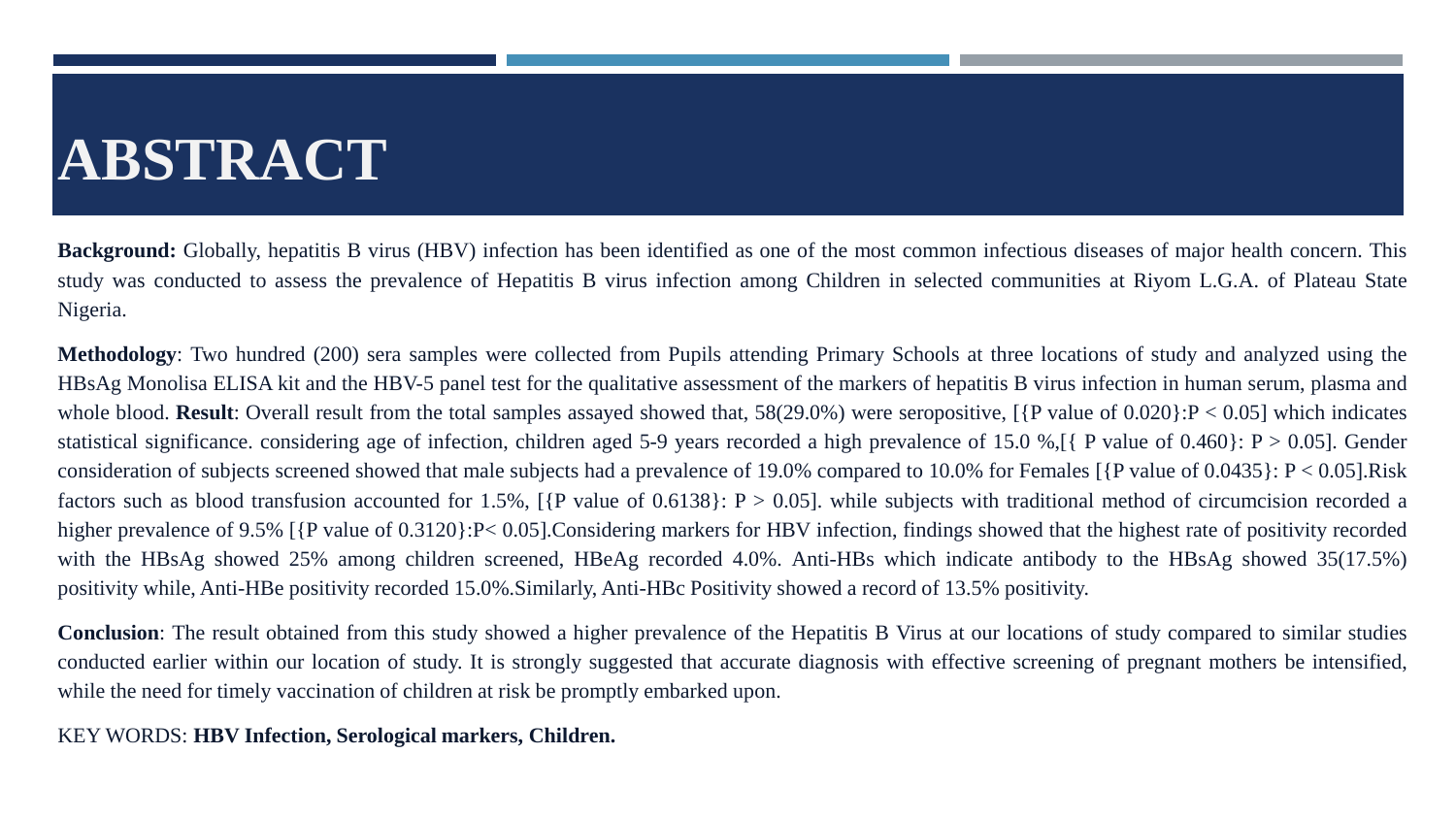## **ABSTRACT**

**Background:** Globally, hepatitis B virus (HBV) infection has been identified as one of the most common infectious diseases of major health concern. This study was conducted to assess the prevalence of Hepatitis B virus infection among Children in selected communities at Riyom L.G.A. of Plateau State Nigeria.

**Methodology**: Two hundred (200) sera samples were collected from Pupils attending Primary Schools at three locations of study and analyzed using the HBsAg Monolisa ELISA kit and the HBV-5 panel test for the qualitative assessment of the markers of hepatitis B virus infection in human serum, plasma and whole blood. **Result**: Overall result from the total samples assayed showed that, 58(29.0%) were seropositive, [{P value of 0.020}:P < 0.05] which indicates statistical significance. considering age of infection, children aged 5-9 years recorded a high prevalence of 15.0 %, [{ P value of 0.460}: P > 0.05]. Gender consideration of subjects screened showed that male subjects had a prevalence of 19.0% compared to 10.0% for Females  $[\{P \text{ value of } 0.0435\} : P < 0.05]$ .Risk factors such as blood transfusion accounted for 1.5%, [{P value of 0.6138}: P > 0.05], while subjects with traditional method of circumcision recorded a higher prevalence of 9.5% [{P value of 0.3120}:P< 0.05]. Considering markers for HBV infection, findings showed that the highest rate of positivity recorded with the HBsAg showed 25% among children screened, HBeAg recorded 4.0%. Anti-HBs which indicate antibody to the HBsAg showed 35(17.5%) positivity while, Anti-HBe positivity recorded 15.0%.Similarly, Anti-HBc Positivity showed a record of 13.5% positivity.

**Conclusion**: The result obtained from this study showed a higher prevalence of the Hepatitis B Virus at our locations of study compared to similar studies conducted earlier within our location of study. It is strongly suggested that accurate diagnosis with effective screening of pregnant mothers be intensified, while the need for timely vaccination of children at risk be promptly embarked upon.

#### KEY WORDS: **HBV Infection, Serological markers, Children.**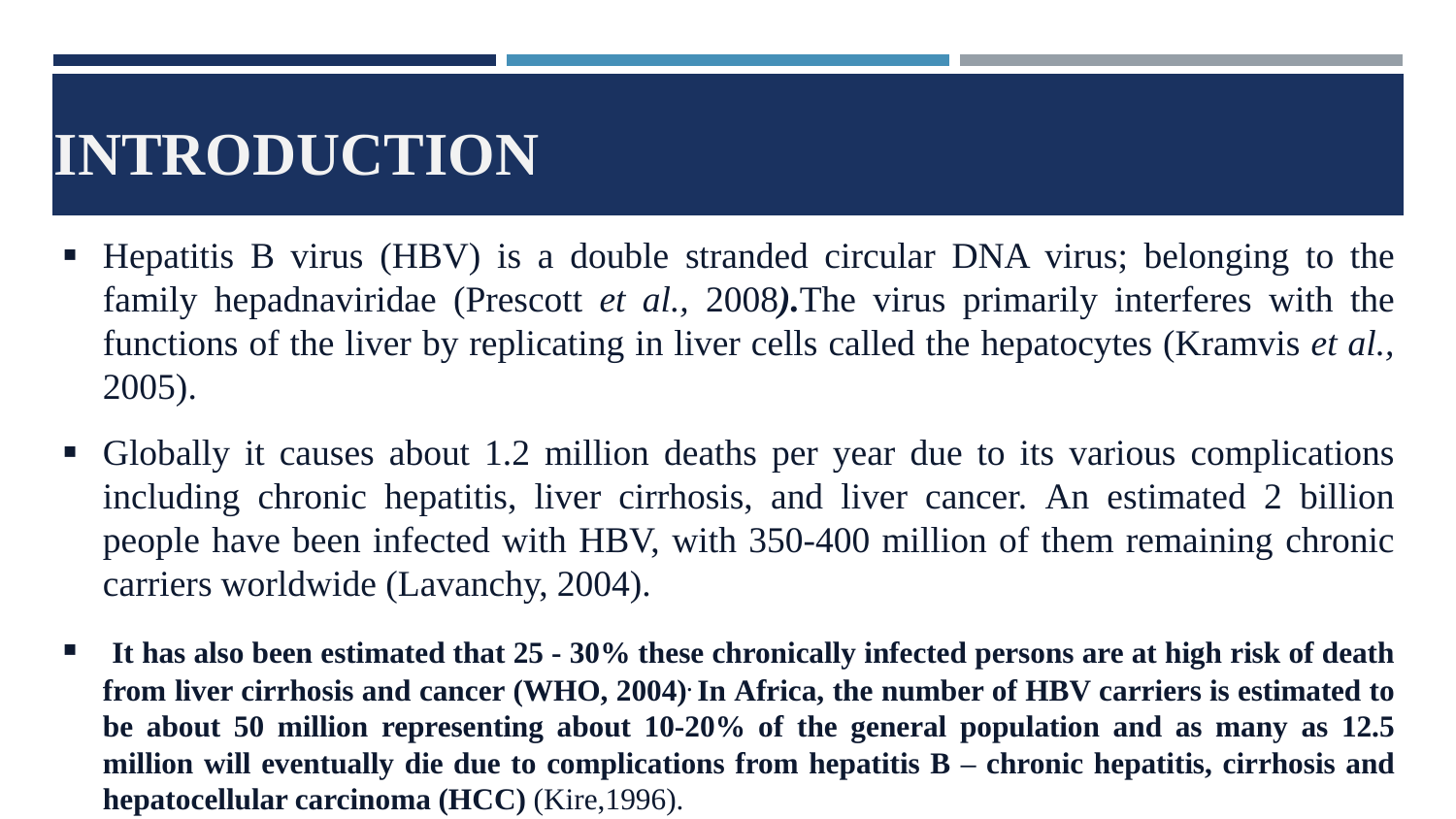# **INTRODUCTION**

- Hepatitis B virus (HBV) is a double stranded circular DNA virus; belonging to the family hepadnaviridae (Prescott *et al.,* 2008*).*The virus primarily interferes with the functions of the liver by replicating in liver cells called the hepatocytes (Kramvis *et al.,* 2005).
- Globally it causes about 1.2 million deaths per year due to its various complications including chronic hepatitis, liver cirrhosis, and liver cancer. An estimated 2 billion people have been infected with HBV, with 350-400 million of them remaining chronic carriers worldwide (Lavanchy, 2004).
- It has also been estimated that  $25 30\%$  these chronically infected persons are at high risk of death from liver cirrhosis and cancer (WHO, 2004)<sup>.</sup> In Africa, the number of HBV carriers is estimated to **be about 50 million representing about 10-20% of the general population and as many as 12.5 million will eventually die due to complications from hepatitis B – chronic hepatitis, cirrhosis and hepatocellular carcinoma (HCC)** (Kire,1996).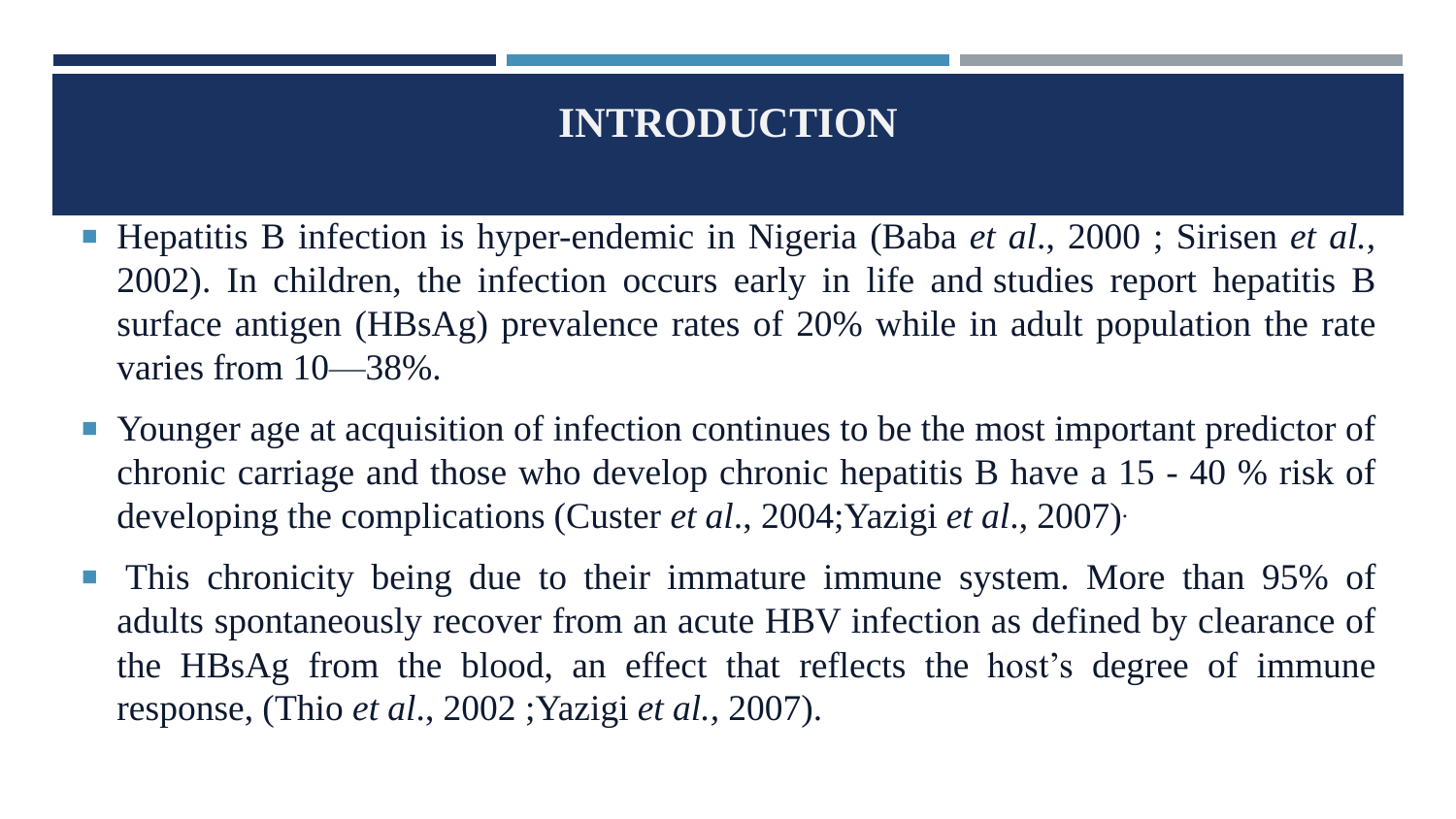### **INTRODUCTION**

- Hepatitis B infection is hyper-endemic in Nigeria (Baba *et al*., 2000 ; Sirisen *et al.,* 2002). In children, the infection occurs early in life and studies report hepatitis B surface antigen (HBsAg) prevalence rates of 20% while in adult population the rate varies from 10—38%.
- Younger age at acquisition of infection continues to be the most important predictor of chronic carriage and those who develop chronic hepatitis B have a 15 - 40 % risk of developing the complications (Custer *et al*., 2004;Yazigi *et al*., 2007) .
- **This chronicity being due to their immature immune system. More than 95% of** adults spontaneously recover from an acute HBV infection as defined by clearance of the HBsAg from the blood, an effect that reflects the host's degree of immune response, (Thio *et al*., 2002 ;Yazigi *et al.,* 2007).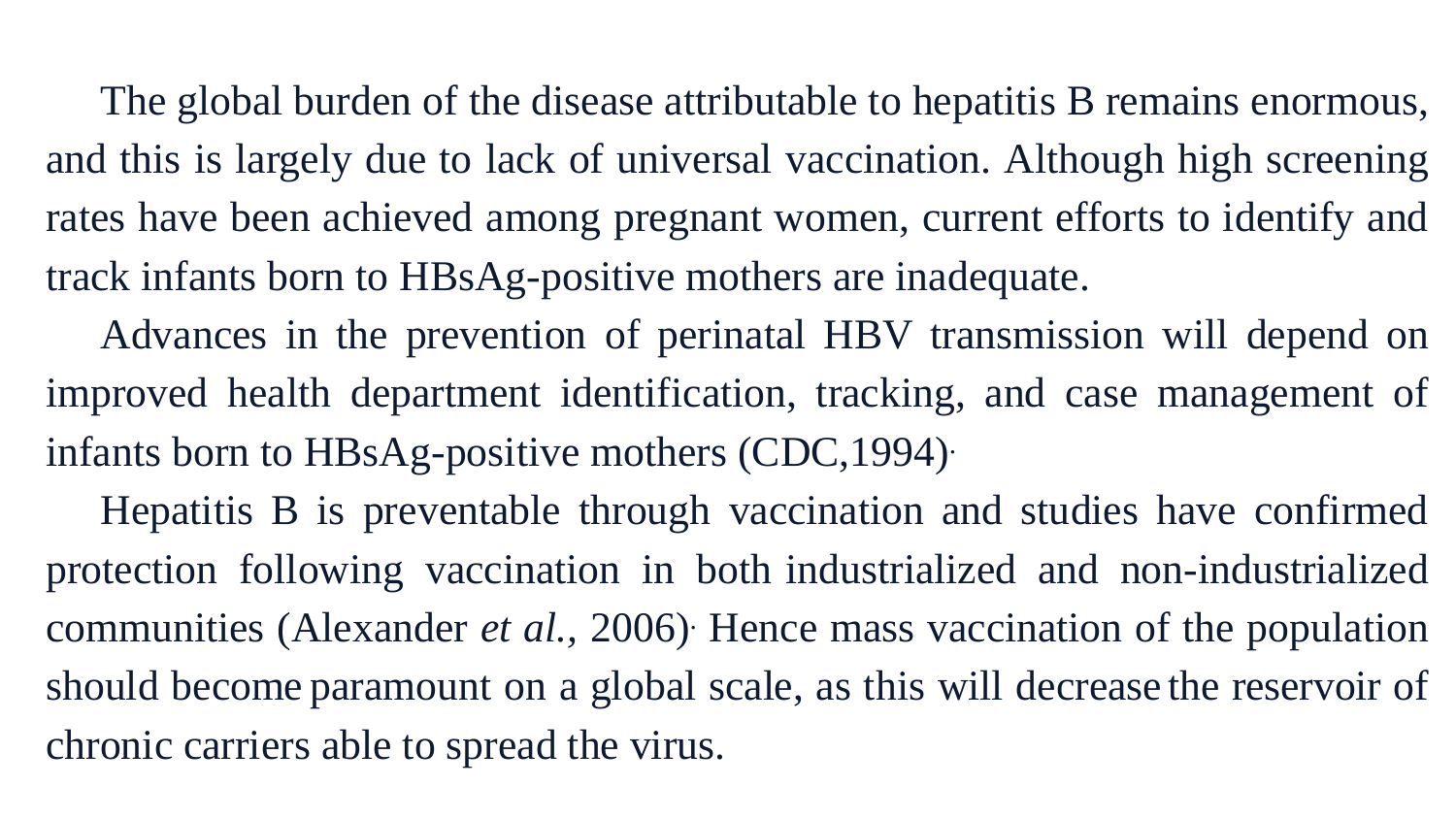The global burden of the disease attributable to hepatitis B remains enormous, and this is largely due to lack of universal vaccination. Although high screening rates have been achieved among pregnant women, current efforts to identify and track infants born to HBsAg-positive mothers are inadequate.

Advances in the prevention of perinatal HBV transmission will depend on improved health department identification, tracking, and case management of infants born to HBsAg-positive mothers (CDC,1994) .

Hepatitis B is preventable through vaccination and studies have confirmed protection following vaccination in both industrialized and non-industrialized communities (Alexander *et al.,* 2006) . Hence mass vaccination of the population should become paramount on a global scale, as this will decrease the reservoir of chronic carriers able to spread the virus.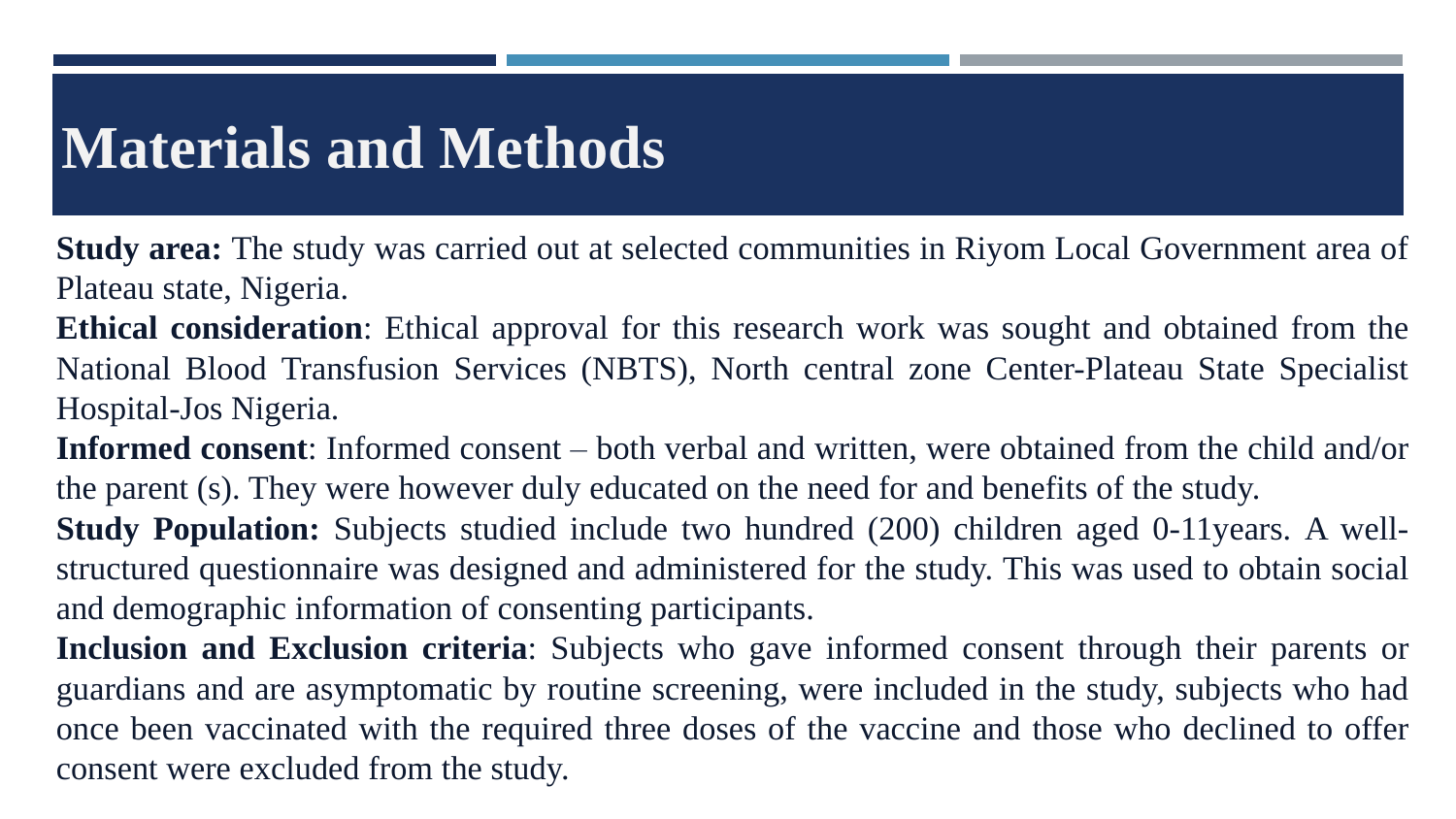### **Materials and Methods**

**Study area:** The study was carried out at selected communities in Riyom Local Government area of Plateau state, Nigeria.

**Ethical consideration**: Ethical approval for this research work was sought and obtained from the National Blood Transfusion Services (NBTS), North central zone Center-Plateau State Specialist Hospital-Jos Nigeria.

**Informed consent**: Informed consent – both verbal and written, were obtained from the child and/or the parent (s). They were however duly educated on the need for and benefits of the study.

**Study Population:** Subjects studied include two hundred (200) children aged 0-11years. A wellstructured questionnaire was designed and administered for the study. This was used to obtain social and demographic information of consenting participants.

**Inclusion and Exclusion criteria**: Subjects who gave informed consent through their parents or guardians and are asymptomatic by routine screening, were included in the study, subjects who had once been vaccinated with the required three doses of the vaccine and those who declined to offer consent were excluded from the study.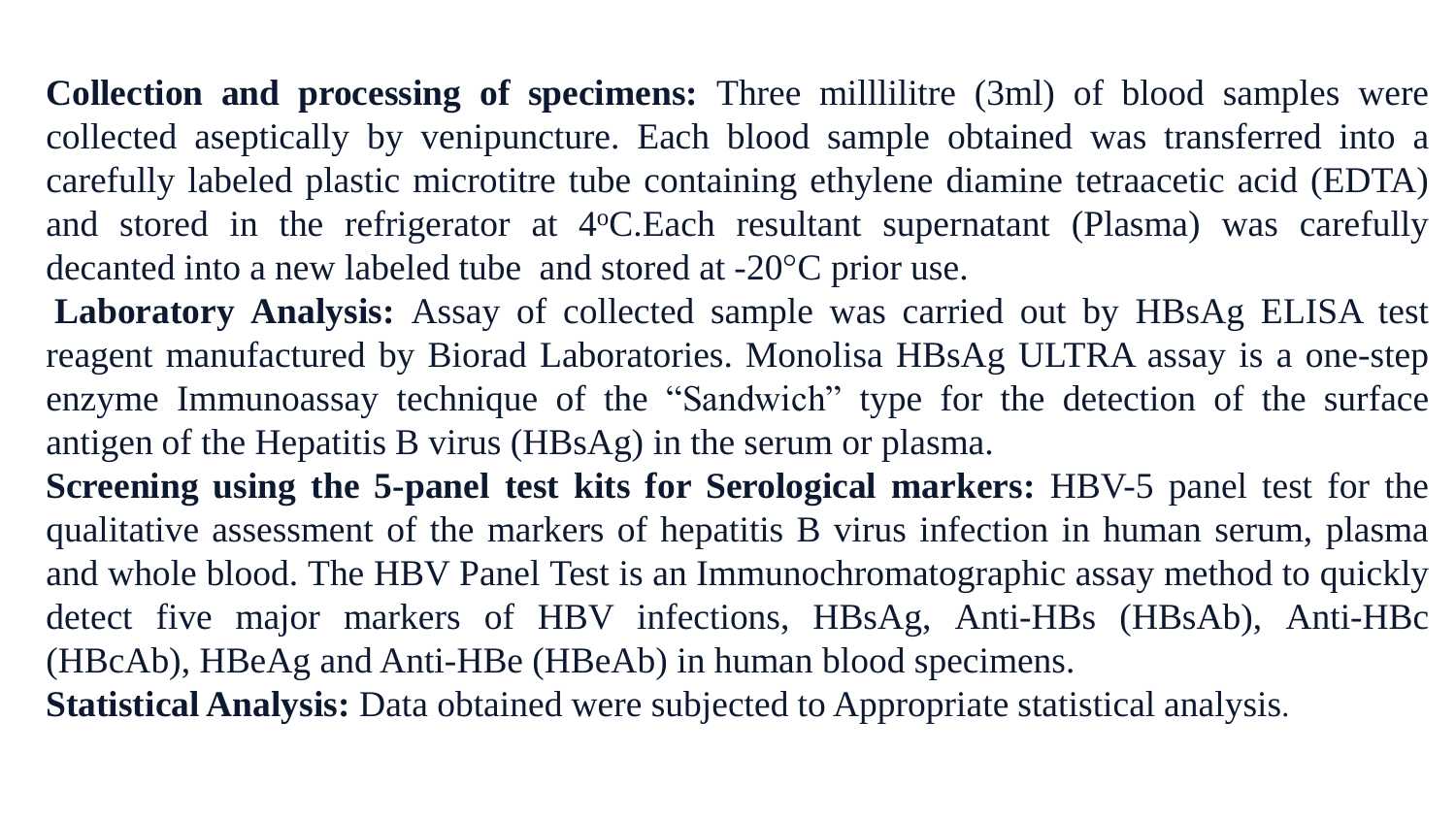**Collection and processing of specimens:** Three milllilitre (3ml) of blood samples were collected aseptically by venipuncture. Each blood sample obtained was transferred into a carefully labeled plastic microtitre tube containing ethylene diamine tetraacetic acid (EDTA) and stored in the refrigerator at 4°C.Each resultant supernatant (Plasma) was carefully decanted into a new labeled tube and stored at -20°C prior use.

**Laboratory Analysis:** Assay of collected sample was carried out by HBsAg ELISA test reagent manufactured by Biorad Laboratories. Monolisa HBsAg ULTRA assay is a one-step enzyme Immunoassay technique of the "Sandwich" type for the detection of the surface antigen of the Hepatitis B virus (HBsAg) in the serum or plasma.

**Screening using the 5-panel test kits for Serological markers:** HBV-5 panel test for the qualitative assessment of the markers of hepatitis B virus infection in human serum, plasma and whole blood. The HBV Panel Test is an Immunochromatographic assay method to quickly detect five major markers of HBV infections, HBsAg, Anti-HBs (HBsAb), Anti-HBc (HBcAb), HBeAg and Anti-HBe (HBeAb) in human blood specimens.

**Statistical Analysis:** Data obtained were subjected to Appropriate statistical analysis.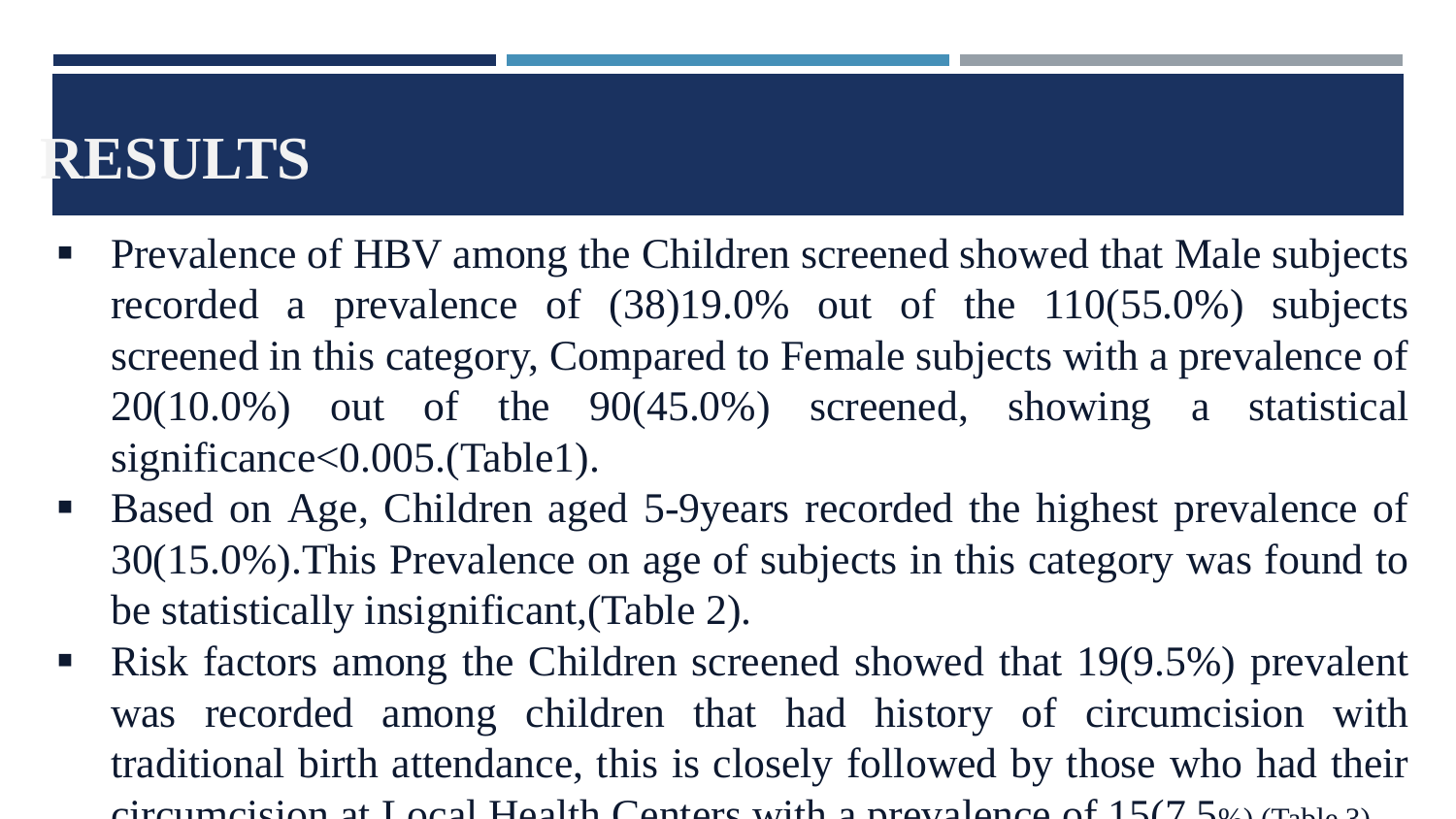# **RESULTS**

- Prevalence of HBV among the Children screened showed that Male subjects recorded a prevalence of (38)19.0% out of the 110(55.0%) subjects screened in this category, Compared to Female subjects with a prevalence of 20(10.0%) out of the 90(45.0%) screened, showing a statistical significance<0.005.(Table1).
- Based on Age, Children aged 5-9years recorded the highest prevalence of 30(15.0%).This Prevalence on age of subjects in this category was found to be statistically insignificant,(Table 2).
- Risk factors among the Children screened showed that 19(9.5%) prevalent was recorded among children that had history of circumcision with traditional birth attendance, this is closely followed by those who had their circumcision at Local Health Centers with a prevalence of  $15(7.5)$ .  $(7.61.3)$ .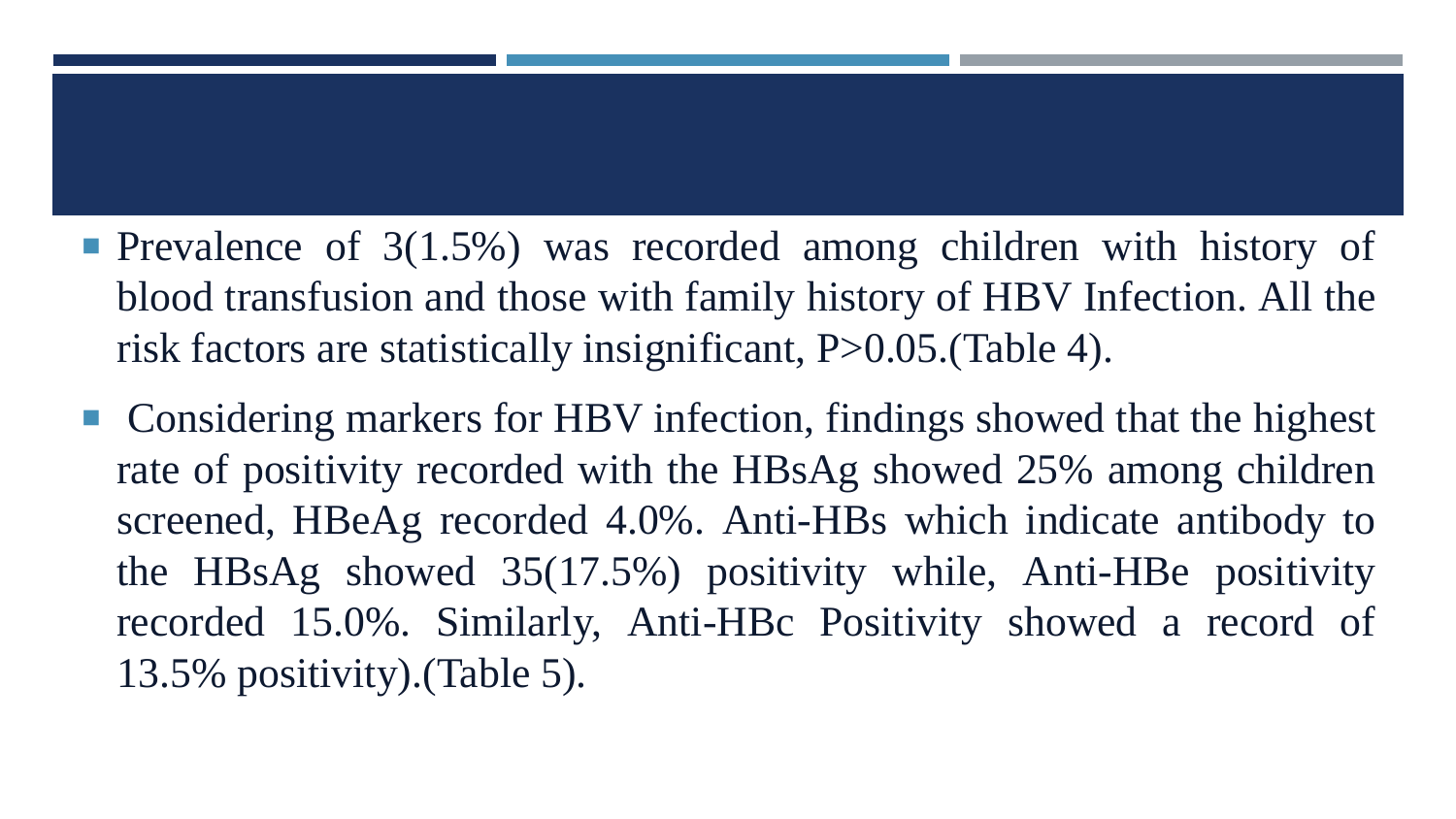- **Prevalence of 3(1.5%) was recorded among children with history of** blood transfusion and those with family history of HBV Infection. All the risk factors are statistically insignificant, P>0.05.(Table 4).
- Considering markers for HBV infection, findings showed that the highest rate of positivity recorded with the HBsAg showed 25% among children screened, HBeAg recorded 4.0%. Anti-HBs which indicate antibody to the HBsAg showed 35(17.5%) positivity while, Anti-HBe positivity recorded 15.0%. Similarly, Anti-HBc Positivity showed a record of 13.5% positivity).(Table 5).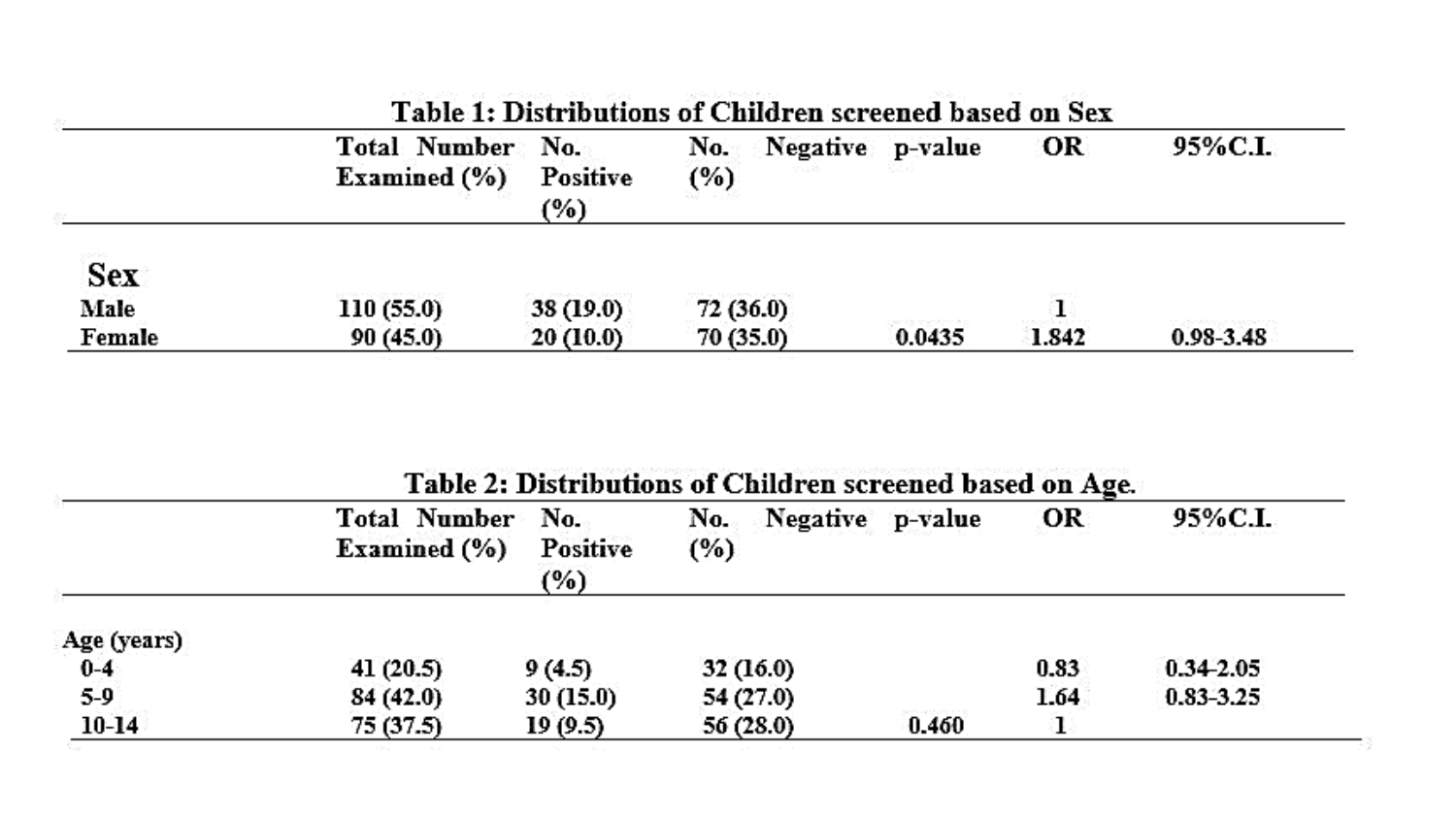|             | Total Number No.<br>Examined $(\% )$ | <b>Positive</b><br>(%) | Negative p-value<br>No.<br>(%) |        | OR    | 95%C.L.       |
|-------------|--------------------------------------|------------------------|--------------------------------|--------|-------|---------------|
| <b>Sex</b>  |                                      |                        |                                |        |       |               |
| <b>Male</b> | 110 (55.0)                           | 38 (19.0)              | 72(36.0)                       |        |       |               |
| Female      | 90(45.0)                             | 20(10.0)               | 70(35.0)                       | 0.0435 | 1.842 | $0.98 - 3.48$ |

の大きなのがないでは、この他があるから、その他にはある。 ここに、「女性の女性の女性の女性」ということに、「ここに、「いなみ」ということをサイトになるか。

Table 2: Distributions of Children screened based on Age.

|             | Total Number No.<br>Examined $(\% )$ | <b>Positive</b><br>(%) | Negative p-value<br>No. .<br>(%) |                             | OR   | 95%C.L.       |
|-------------|--------------------------------------|------------------------|----------------------------------|-----------------------------|------|---------------|
| Age (years) |                                      |                        |                                  |                             |      |               |
| $0-4$       | 41(20.5)                             | 9(4.5)                 | 32(16.0)                         |                             | 0.83 | $0.34 - 2.05$ |
| $5-9$       | 84(42.0)                             | 30(15.0)               | 54(27.0)                         |                             | 1.64 | $0.83 - 3.25$ |
| $10 - 14$   | 75(37.5)                             | 19(9.5)                | 56(28.0)                         | 2020/07/2020 22:33<br>0.460 |      |               |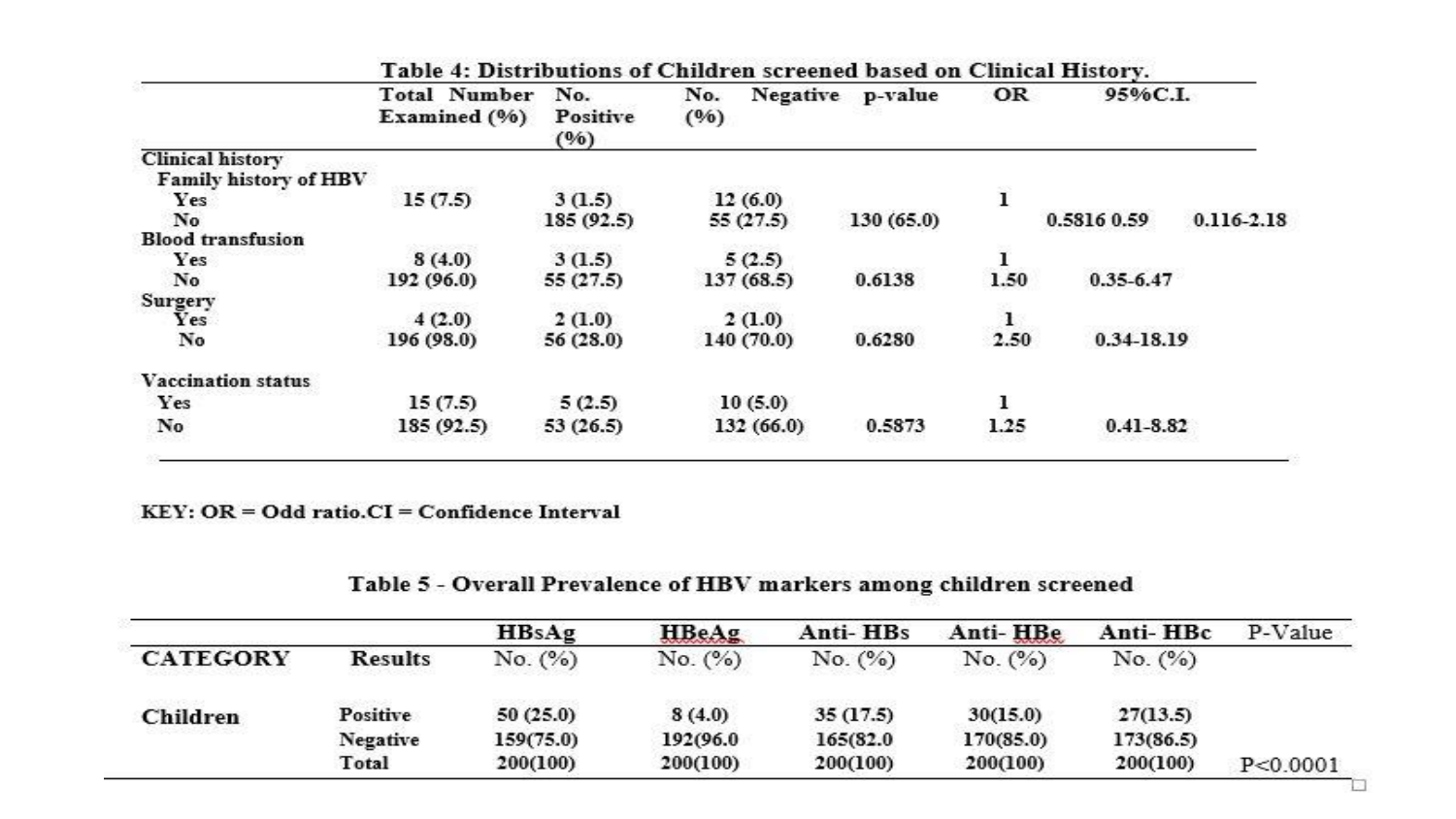|                           | <b>Total Number</b> | No.<br>No. |                  |           | OR   | 95%C.I.                       |  |
|---------------------------|---------------------|------------|------------------|-----------|------|-------------------------------|--|
|                           | Examined (%)        | Positive   | Negative<br>(96) | p-value   |      |                               |  |
|                           |                     | (96)       |                  |           |      |                               |  |
| <b>Clinical history</b>   |                     |            |                  |           |      |                               |  |
| Family history of HBV     |                     |            |                  |           |      |                               |  |
| Yes                       | 15(7.5)             | 3(1.5)     | 12(6.0)          |           | ı    |                               |  |
| No                        |                     | 185 (92.5) | 55 (27.5)        | 130(65.0) |      | 0.5816 0.59<br>$0.116 - 2.18$ |  |
| <b>Blood transfusion</b>  |                     |            |                  |           |      |                               |  |
| Yes                       | 8(4.0)              | 3(1.5)     | 5(2.5)           |           | ı    |                               |  |
| No                        | 192 (96.0)          | 55 (27.5)  | 137(68.5)        | 0.6138    | 1.50 | $0.35 - 6.47$                 |  |
| Surgery                   |                     |            |                  |           |      |                               |  |
| Yes                       | 4(2.0)              | 2(1.0)     | 2(1.0)           |           | 1    |                               |  |
| No                        | 196 (98.0)          | 56 (28.0)  | 140 (70.0)       | 0.6280    | 2.50 | 0.34-18.19                    |  |
| <b>Vaccination status</b> |                     |            |                  |           |      |                               |  |
| Yes                       | 15(7.5)             | 5(2.5)     | 10(5.0)          |           | ı    |                               |  |
| No                        | 185 (92.5)          | 53 (26.5)  | 132 (66.0)       | 0.5873    | 1.25 | $0.41 - 8.82$                 |  |
|                           |                     |            |                  |           |      |                               |  |

#### Table 4: Distributions of Children screened based on Clinical History

KEY: OR = Odd ratio.CI = Confidence Interval

#### Table 5 - Overall Prevalence of HBV markers among children screened

|                 |                | HBsAg     | <b>HBeAg</b> | Anti-HBs | Anti-HBe  | Anti-HBc  | P-Value    |
|-----------------|----------------|-----------|--------------|----------|-----------|-----------|------------|
| <b>CATEGORY</b> | <b>Results</b> | No. (%)   | No. (%)      | No. (%)  | No. (%)   | No. (%)   |            |
| Children        | Positive       | 50(25.0)  | 8(4.0)       | 35(17.5) | 30(15.0)  | 27(13.5)  |            |
|                 | Negative       | 159(75.0) | 192(96.0)    | 165(82.0 | 170(85.0) | 173(86.5) |            |
|                 | Total          | 200(100)  | 200(100)     | 200(100) | 200(100)  | 200(100)  | P < 0.0001 |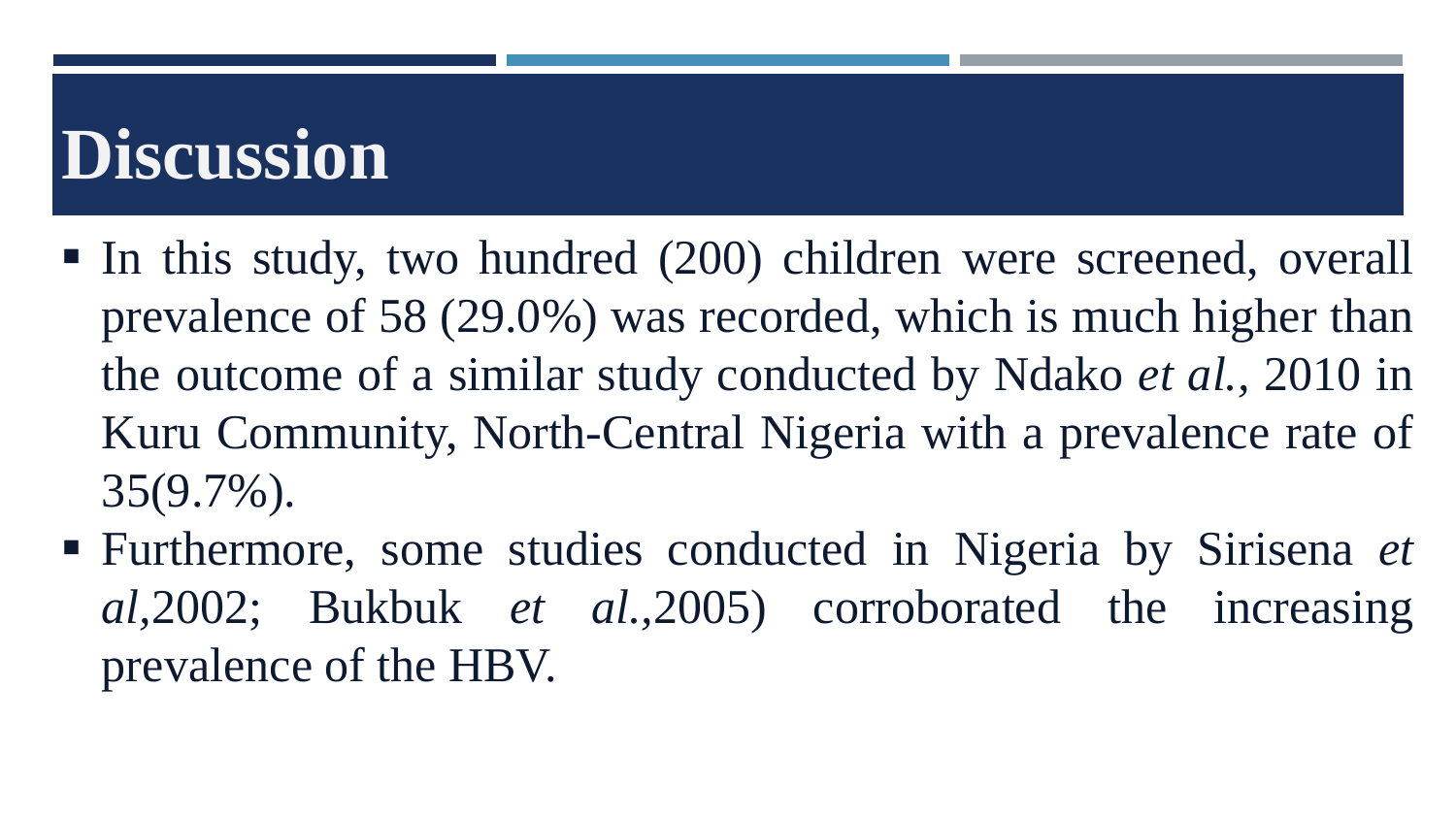# **Discussion**

- In this study, two hundred (200) children were screened, overall prevalence of 58 (29.0%) was recorded, which is much higher than the outcome of a similar study conducted by Ndako *et al.,* 2010 in Kuru Community, North-Central Nigeria with a prevalence rate of 35(9.7%).
- Furthermore, some studies conducted in Nigeria by Sirisena *et al,*2002; Bukbuk *et al.,*2005) corroborated the increasing prevalence of the HBV.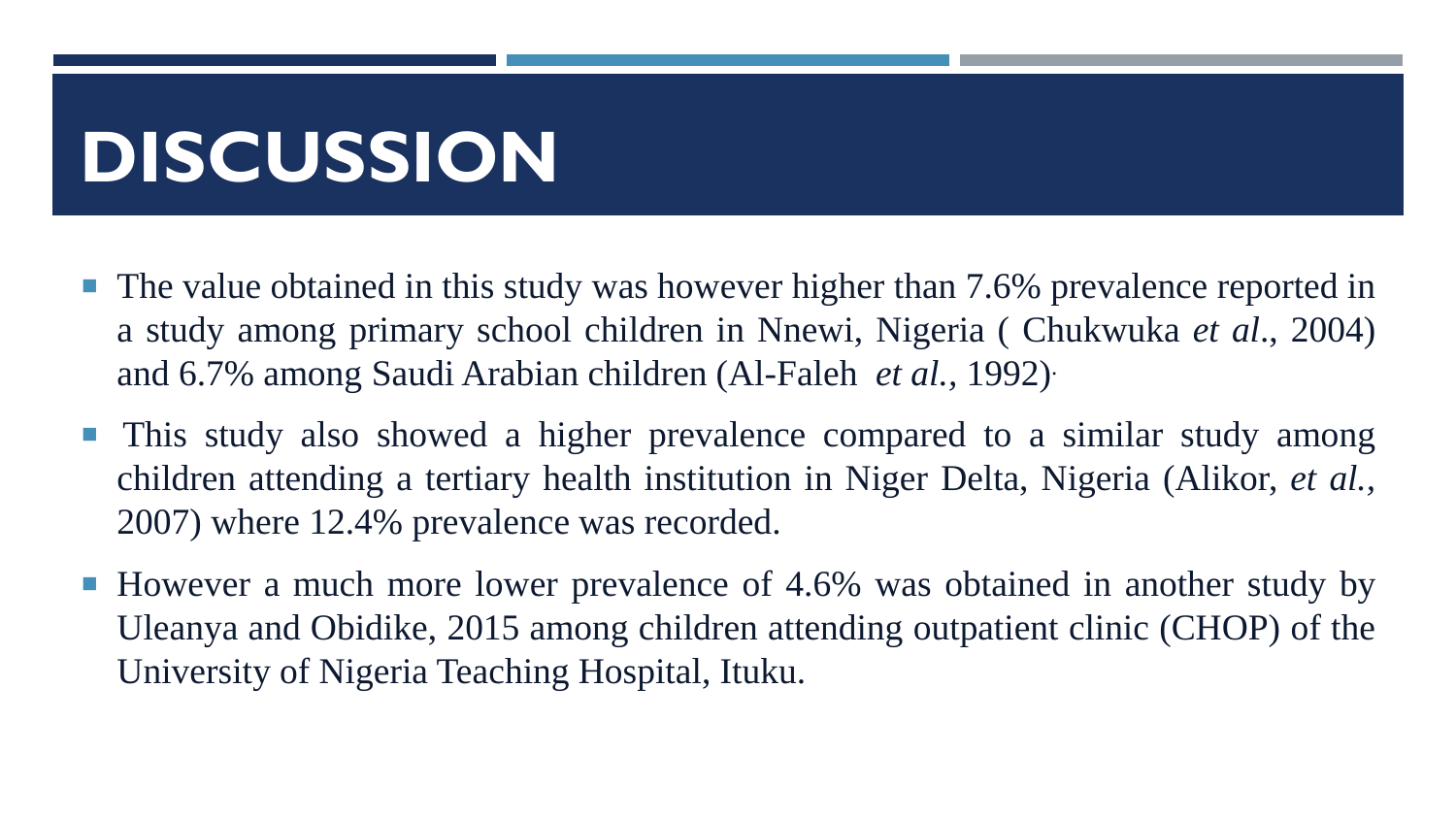# **DISCUSSION**

- The value obtained in this study was however higher than 7.6% prevalence reported in a study among primary school children in Nnewi, Nigeria ( Chukwuka *et al*., 2004) and 6.7% among Saudi Arabian children (Al-Faleh *et al.,* 1992) .
- This study also showed a higher prevalence compared to a similar study among children attending a tertiary health institution in Niger Delta, Nigeria (Alikor, *et al.,* 2007) where 12.4% prevalence was recorded.
- However a much more lower prevalence of 4.6% was obtained in another study by Uleanya and Obidike, 2015 among children attending outpatient clinic (CHOP) of the University of Nigeria Teaching Hospital, Ituku.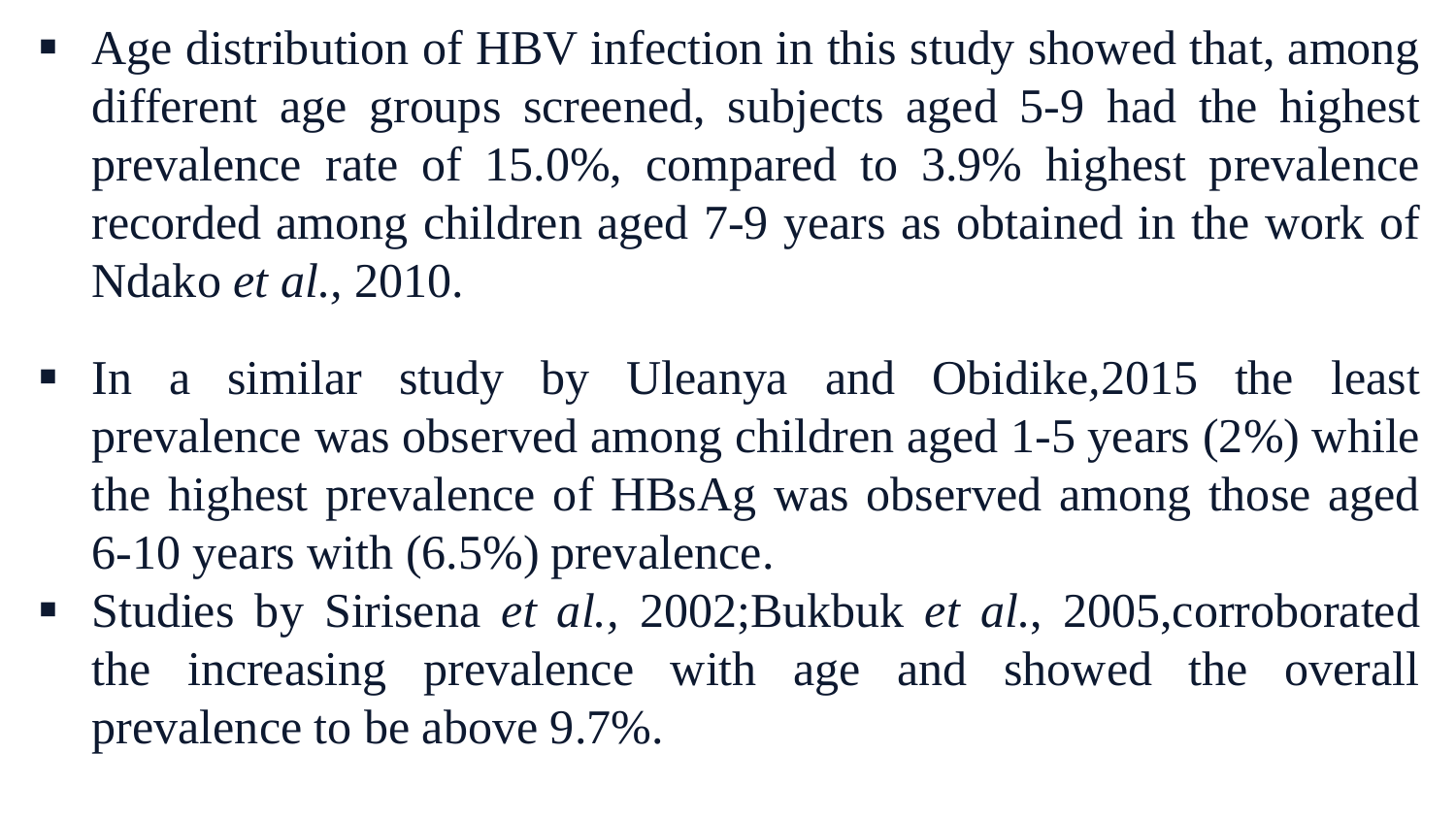- Age distribution of HBV infection in this study showed that, among different age groups screened, subjects aged 5-9 had the highest prevalence rate of 15.0%, compared to 3.9% highest prevalence recorded among children aged 7-9 years as obtained in the work of Ndako *et al.,* 2010.
- In a similar study by Uleanya and Obidike*,*2015 the least prevalence was observed among children aged 1-5 years (2%) while the highest prevalence of HBsAg was observed among those aged 6-10 years with (6.5%) prevalence.
- Studies by Sirisena *et al.,* 2002;Bukbuk *et al.*, 2005,corroborated the increasing prevalence with age and showed the overall prevalence to be above 9.7%.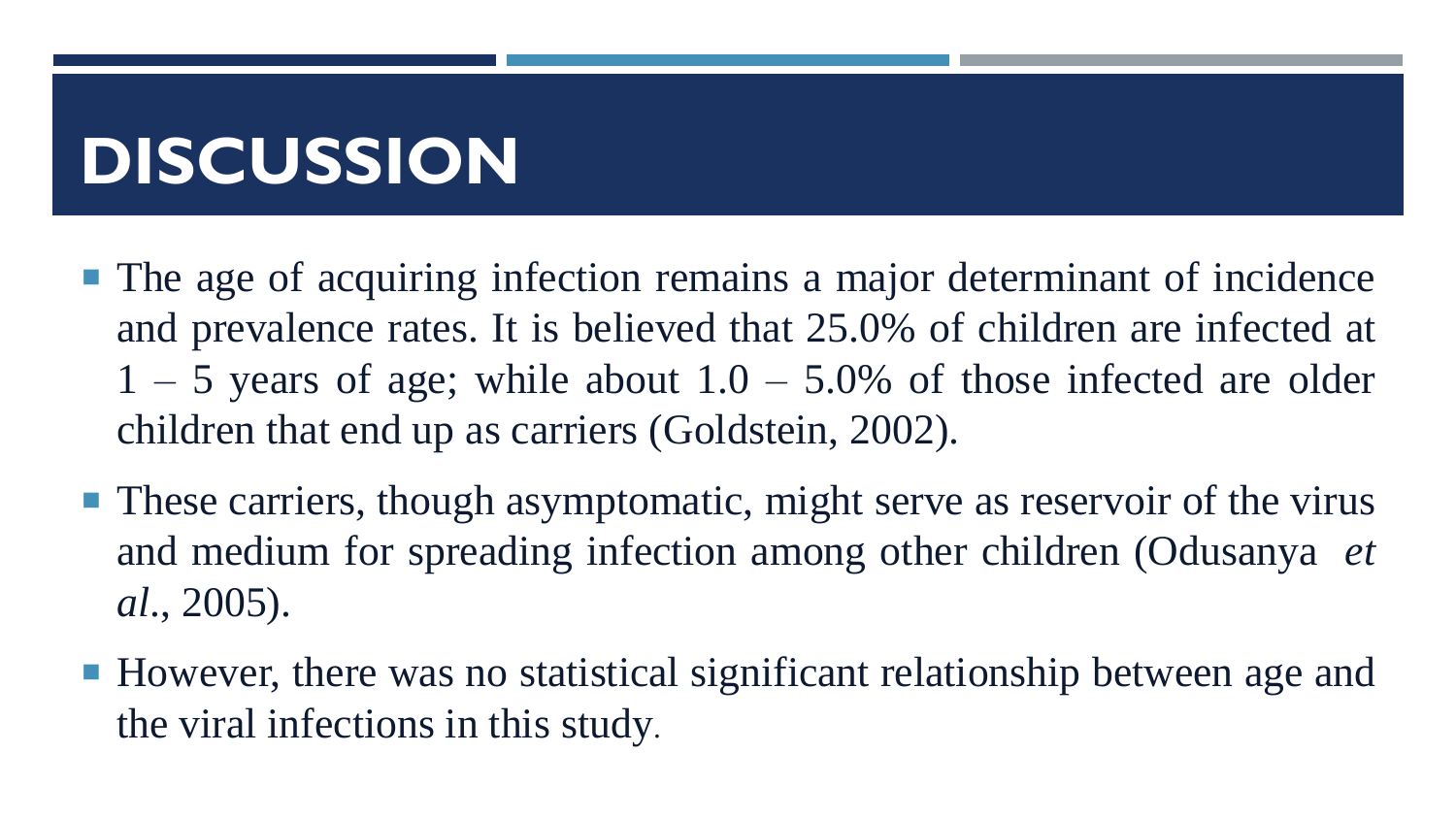# **DISCUSSION**

- The age of acquiring infection remains a major determinant of incidence and prevalence rates. It is believed that 25.0% of children are infected at  $1 - 5$  years of age; while about  $1.0 - 5.0\%$  of those infected are older children that end up as carriers (Goldstein, 2002).
- These carriers, though asymptomatic, might serve as reservoir of the virus and medium for spreading infection among other children (Odusanya *et al*., 2005).
- However, there was no statistical significant relationship between age and the viral infections in this study.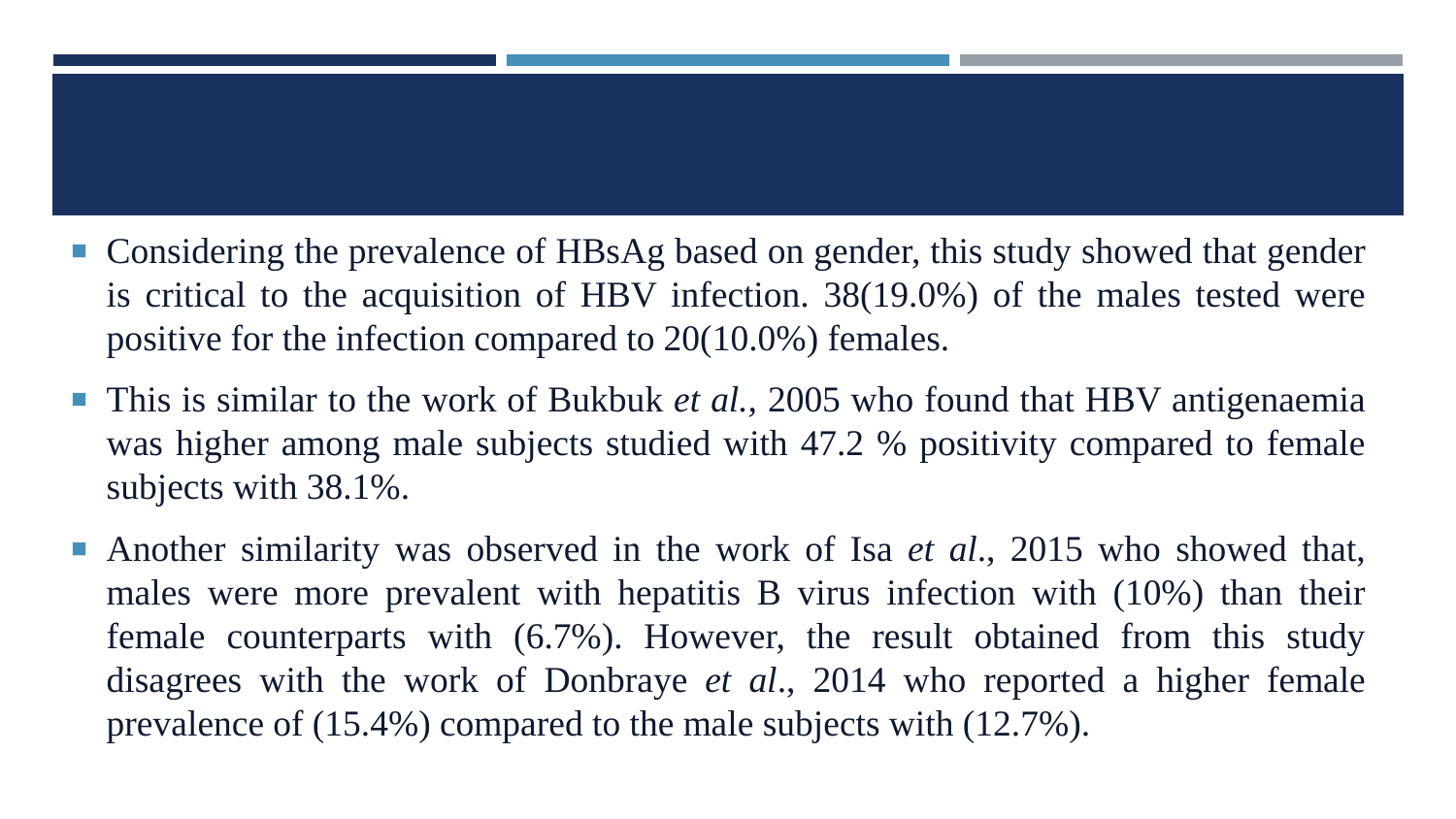- Considering the prevalence of HBsAg based on gender, this study showed that gender is critical to the acquisition of HBV infection. 38(19.0%) of the males tested were positive for the infection compared to 20(10.0%) females.
- This is similar to the work of Bukbuk *et al.*, 2005 who found that HBV antigenaemia was higher among male subjects studied with 47.2 % positivity compared to female subjects with 38.1%.
- Another similarity was observed in the work of Isa *et al*., 2015 who showed that, males were more prevalent with hepatitis B virus infection with (10%) than their female counterparts with (6.7%). However, the result obtained from this study disagrees with the work of Donbraye *et al*., 2014 who reported a higher female prevalence of (15.4%) compared to the male subjects with (12.7%).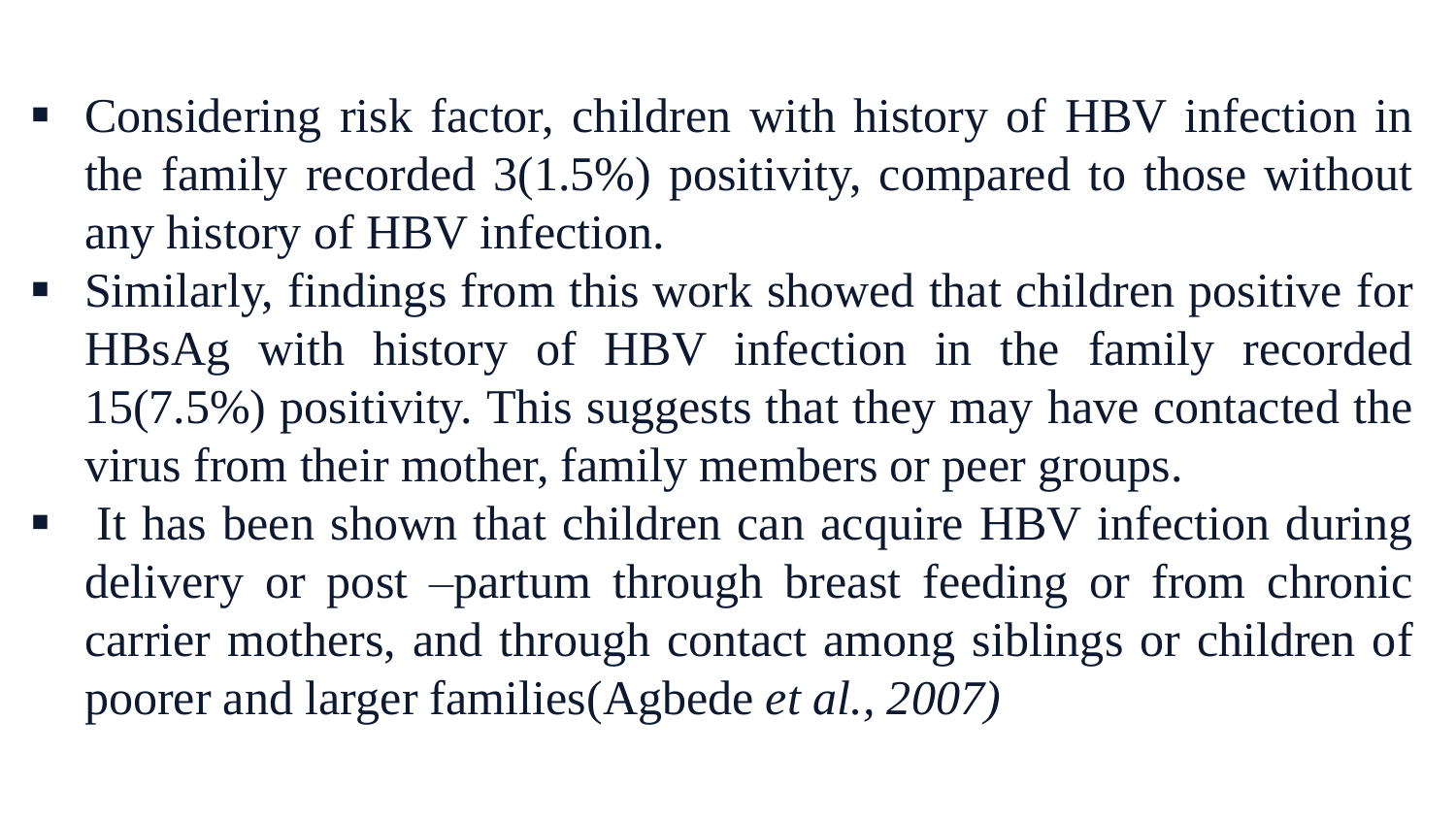- Considering risk factor, children with history of HBV infection in the family recorded 3(1.5%) positivity, compared to those without any history of HBV infection.
- Similarly, findings from this work showed that children positive for HBsAg with history of HBV infection in the family recorded 15(7.5%) positivity. This suggests that they may have contacted the virus from their mother, family members or peer groups.
- If has been shown that children can acquire HBV infection during delivery or post –partum through breast feeding or from chronic carrier mothers, and through contact among siblings or children of poorer and larger families(Agbede *et al., 2007)*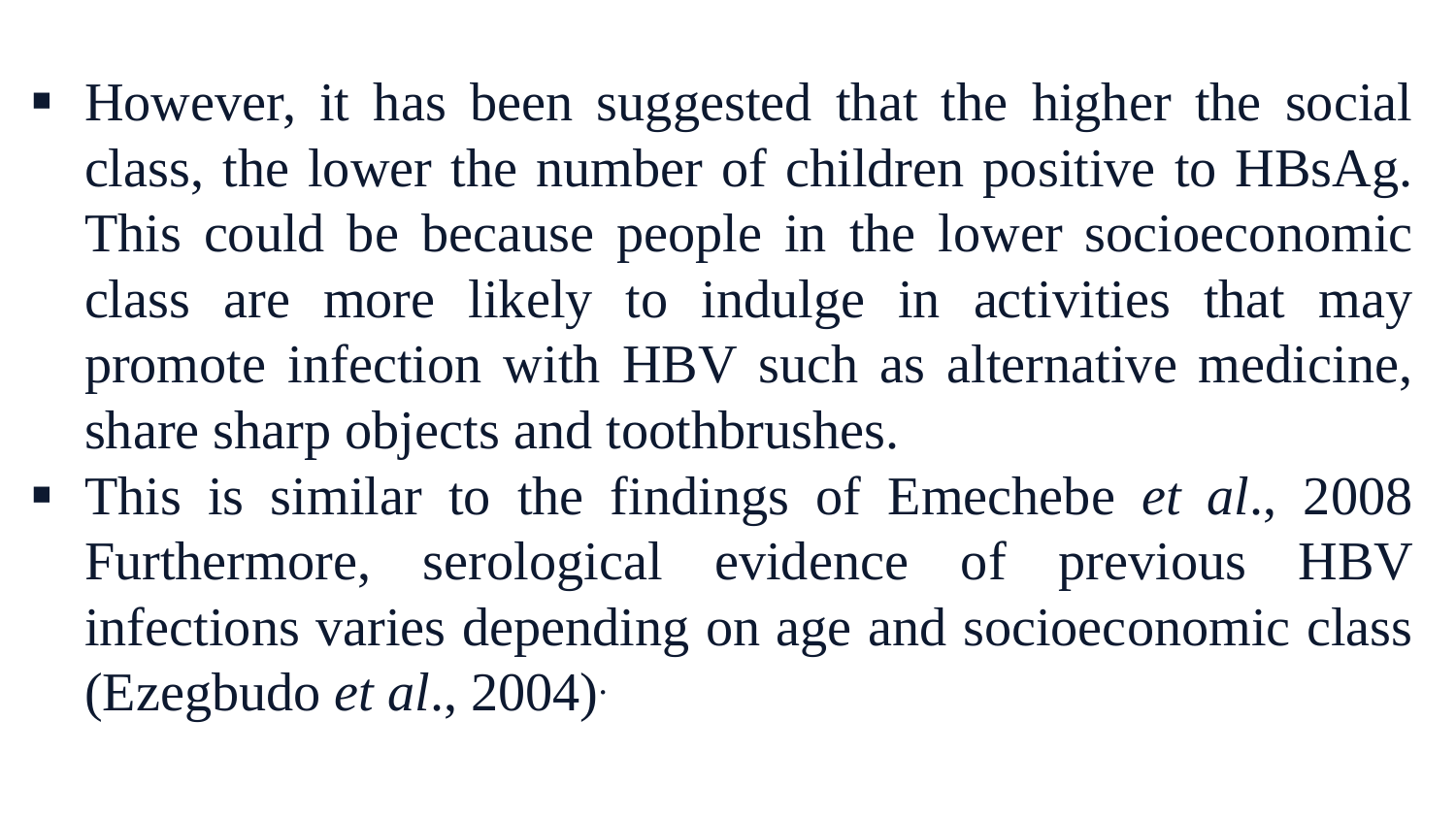- However, it has been suggested that the higher the social class, the lower the number of children positive to HBsAg. This could be because people in the lower socioeconomic class are more likely to indulge in activities that may promote infection with HBV such as alternative medicine, share sharp objects and toothbrushes.
- This is similar to the findings of Emechebe *et al*., 2008 Furthermore, serological evidence of previous HBV infections varies depending on age and socioeconomic class (Ezegbudo *et al*., 2004) .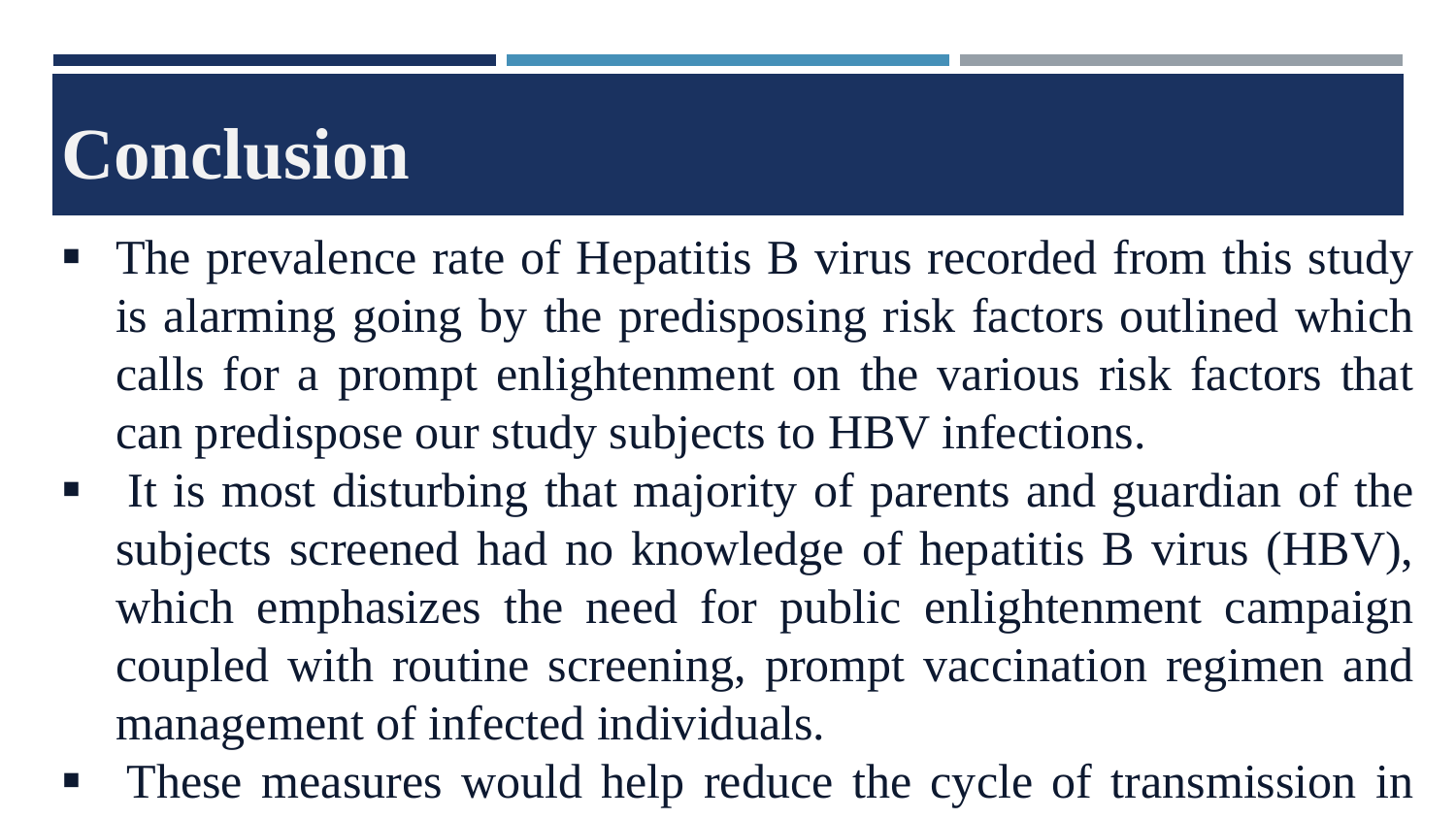# **Conclusion**

- The prevalence rate of Hepatitis B virus recorded from this study is alarming going by the predisposing risk factors outlined which calls for a prompt enlightenment on the various risk factors that can predispose our study subjects to HBV infections.
- It is most disturbing that majority of parents and guardian of the subjects screened had no knowledge of hepatitis B virus (HBV), which emphasizes the need for public enlightenment campaign coupled with routine screening, prompt vaccination regimen and management of infected individuals.
- **These measures would help reduce the cycle of transmission in**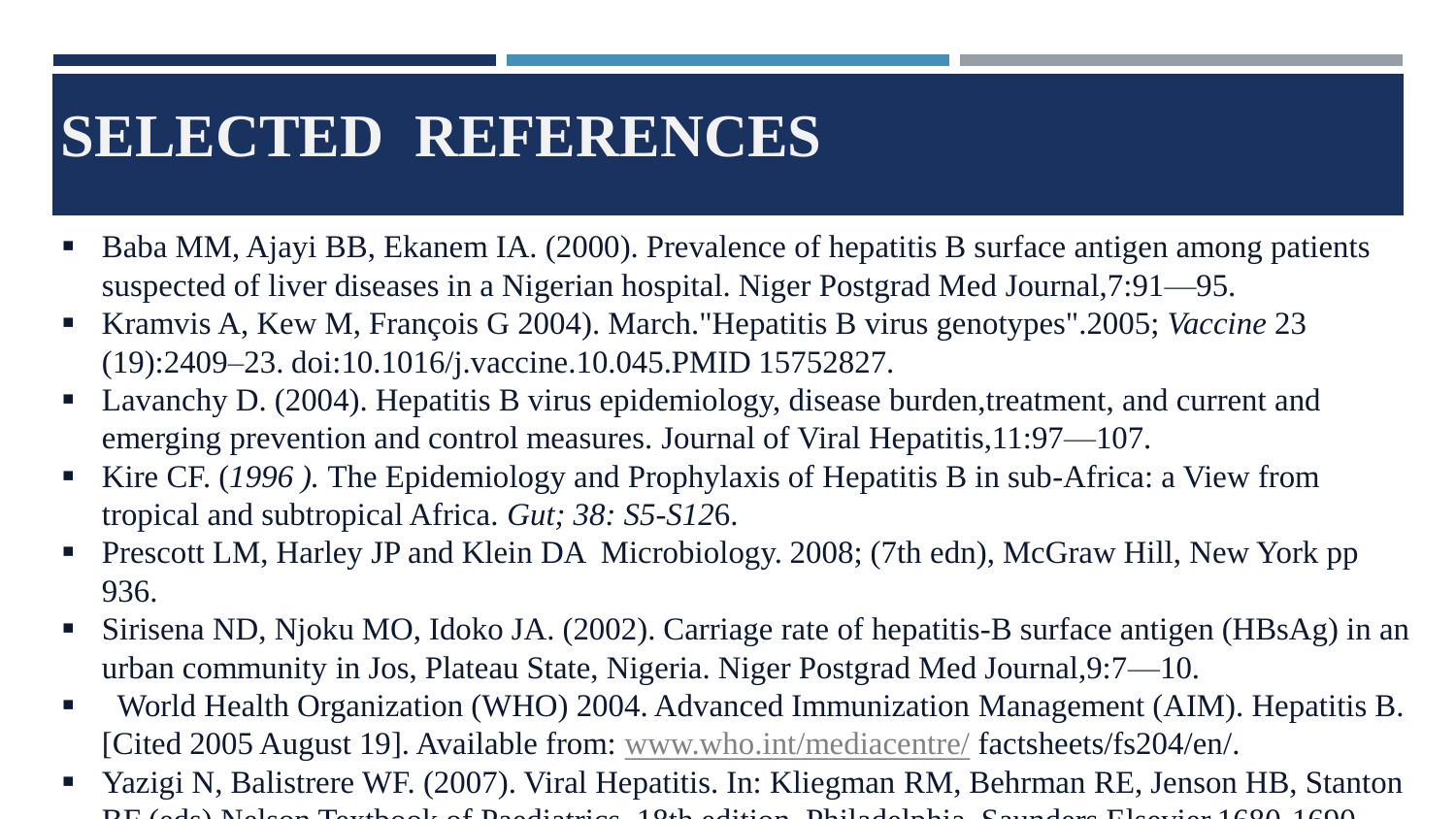## **SELECTED REFERENCES**

- Baba MM, Ajayi BB, Ekanem IA. (2000). Prevalence of hepatitis B surface antigen among patients suspected of liver diseases in a Nigerian hospital. Niger Postgrad Med Journal,7:91—95.
- Kramvis A, Kew M, François G 2004). March."Hepatitis B virus genotypes".2005; *Vaccine* 23 (19):2409–23. doi:10.1016/j.vaccine.10.045.PMID 15752827.
- Lavanchy D. (2004). Hepatitis B virus epidemiology, disease burden, treatment, and current and emerging prevention and control measures. Journal of Viral Hepatitis,11:97—107.
- Kire CF. (1996). The Epidemiology and Prophylaxis of Hepatitis B in sub-Africa: a View from tropical and subtropical Africa. *Gut; 38: S5-S12*6.
- Prescott LM, Harley JP and Klein DA Microbiology. 2008; (7th edn), McGraw Hill, New York pp 936.
- Sirisena ND, Njoku MO, Idoko JA. (2002). Carriage rate of hepatitis-B surface antigen (HBsAg) in an urban community in Jos, Plateau State, Nigeria. Niger Postgrad Med Journal,9:7—10.
- World Health Organization (WHO) 2004. Advanced Immunization Management (AIM). Hepatitis B. [Cited 2005 August 19]. Available from: [www.who.int/mediacentre/](http://www.who.int/mediacentre/) factsheets/fs204/en/.
- Yazigi N, Balistrere WF. (2007). Viral Hepatitis. In: Kliegman RM, Behrman RE, Jenson HB, Stanton BF (eds) Nelson Textbook of Paediatrics. 18th edition, Philadelphia, Saunders Elsevier.1680-1690.